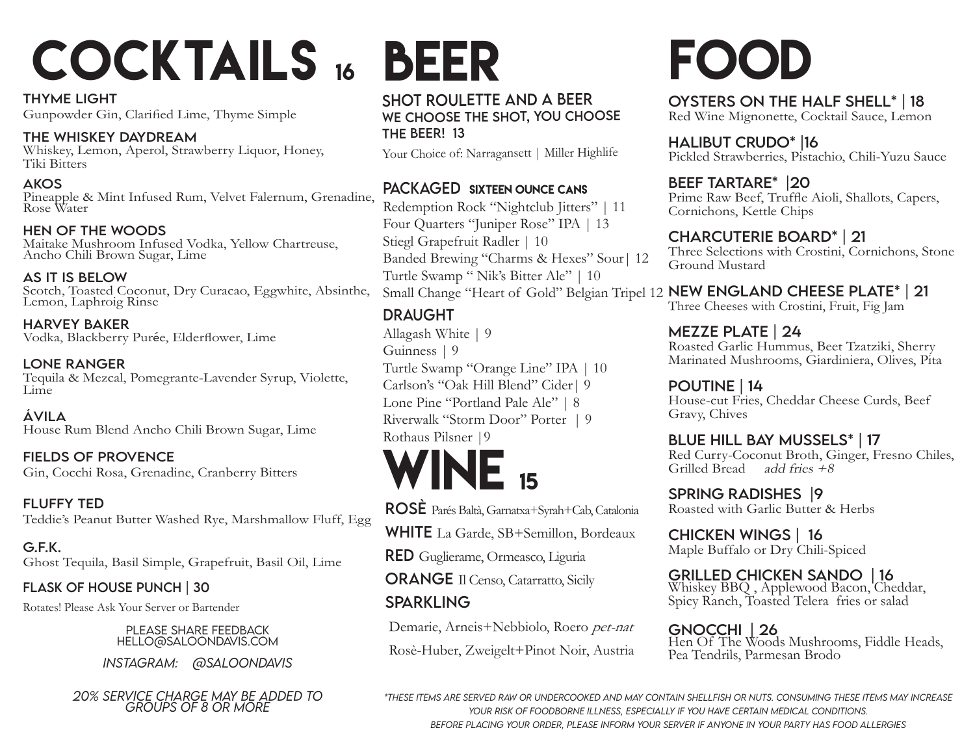# COCKTAILS 16 BEER FOOD

Thyme Light Gunpowder Gin, Clarified Lime, Thyme Simple

The Whiskey Daydream Whiskey, Lemon, Aperol, Strawberry Liquor, Honey, Tiki Bitters

Akos Pineapple & Mint Infused Rum, Velvet Falernum, Grenadine, Rose Water

Hen Of The woods Maitake Mushroom Infused Vodka, Yellow Chartreuse, Ancho Chili Brown Sugar, Lime

As it is below Scotch, Toasted Coconut, Dry Curacao, Eggwhite, Absinthe, Lemon, Laphroig Rinse

Harvey baker Vodka, Blackberry Purée, Elderflower, Lime

lone ranger Tequila & Mezcal, Pomegrante-Lavender Syrup, Violette, Lime

ávila House Rum Blend Ancho Chili Brown Sugar, Lime

Fields of provence Gin, Cocchi Rosa, Grenadine, Cranberry Bitters

Fluffy Ted Teddie's Peanut Butter Washed Rye, Marshmallow Fluff, Egg

G.f.k. Ghost Tequila, Basil Simple, Grapefruit, Basil Oil, Lime

Flask of house punch | 30

Rotates! Please Ask Your Server or Bartender

please share feedback hello@saloondavis.com

*instagram: @Saloondavis*

*20% service charge may be added to groups of 8 or more*

#### SHOT ROULETTE AND A BEER We choose the shot, you choose THE BEER! 13

Your Choice of: Narragansett | Miller Highlife

### PACKAGED SIXTEEN OUNCE CANS

Redemption Rock "Nightclub Jitters" | 11 Four Quarters "Juniper Rose" IPA | 13 Stiegl Grapefruit Radler | 10 Banded Brewing "Charms & Hexes" Sour| 12 Turtle Swamp " Nik's Bitter Ale" | 10

### **DRAUGHT**

Allagash White | 9 Guinness | 9 Turtle Swamp "Orange Line" IPA | 10 Carlson's "Oak Hill Blend" Cider| 9 Lone Pine "Portland Pale Ale" | 8 Riverwalk "Storm Door" Porter | 9 Rothaus Pilsner |9

# $NE_{15}$

Rosè Parés Baltà, Garnatxa+Syrah+Cab, Catalonia

WHITE La Garde, SB+Semillon, Bordeaux

RED Guglierame, Ormeasco, Liguria

**ORANGE** Il Censo, Catarratto, Sicily

### **SPARKLING**

Demarie, Arneis+Nebbiolo, Roero pet-nat

Rosè-Huber, Zweigelt+Pinot Noir, Austria

Oysters on the Half Shell\* | 18 Red Wine Mignonette, Cocktail Sauce, Lemon

halibut crudo\* |16 Pickled Strawberries, Pistachio, Chili-Yuzu Sauce

Beef Tartare\* |20 Prime Raw Beef, Truffle Aioli, Shallots, Capers, Cornichons, Kettle Chips

#### Charcuterie Board\* | 21

Three Selections with Crostini, Cornichons, Stone Ground Mustard

Small Change "Heart of Gold" Belgian Tripel 12 NEW ENGLAND CHEESE PLATE\* | 21

Three Cheeses with Crostini, Fruit, Fig Jam

MEZZE PLATE | 24

Roasted Garlic Hummus, Beet Tzatziki, Sherry Marinated Mushrooms, Giardiniera, Olives, Pita

Poutine | 14 House-cut Fries, Cheddar Cheese Curds, Beef Gravy, Chives

### blue hill bay mussels\* | 17

Red Curry-Coconut Broth, Ginger, Fresno Chiles, Grilled Bread add fries  $+8$ 

spring Radishes |9 Roasted with Garlic Butter & Herbs

**CHICKEN WINGS | 16**<br>Maple Buffalo or Dry Chili-Spiced

GRILLED CHICKEN SANDO | 16<br>Whiskey BBQ, Applewood Bacon, Cheddar,

Spicy Ranch, Toasted Telera fries or salad

**GNOCCHI | 26**<br>Hen Of The Woods Mushrooms, Fiddle Heads, Pea Tendrils, Parmesan Brodo

 *\*These items are served raw or undercooked and may contain Shellfish or nuts. Consuming these items may increase your risk of foodborne illness, especially if you have certain medical conditions. Before placing your order, please inform your server if anyone in your party has food allergies*